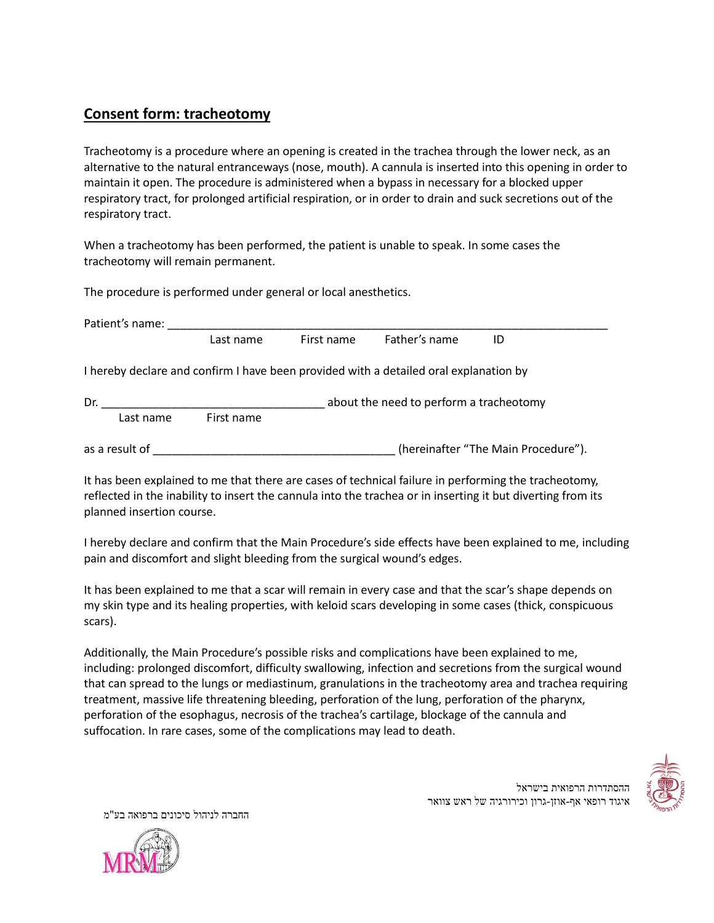## **Consent form: tracheotomy**

Tracheotomy is a procedure where an opening is created in the trachea through the lower neck, as an alternative to the natural entranceways (nose, mouth). A cannula is inserted into this opening in order to maintain it open. The procedure is administered when a bypass in necessary for a blocked upper respiratory tract, for prolonged artificial respiration, or in order to drain and suck secretions out of the respiratory tract.

When a tracheotomy has been performed, the patient is unable to speak. In some cases the tracheotomy will remain permanent.

The procedure is performed under general or local anesthetics.

| Patient's name:                                |            |            |                                                                                       |                                     |
|------------------------------------------------|------------|------------|---------------------------------------------------------------------------------------|-------------------------------------|
|                                                | Last name  | First name | Father's name                                                                         | ID                                  |
|                                                |            |            | I hereby declare and confirm I have been provided with a detailed oral explanation by |                                     |
| Dr.<br>about the need to perform a tracheotomy |            |            |                                                                                       |                                     |
| Last name                                      | First name |            |                                                                                       |                                     |
| as a result of                                 |            |            |                                                                                       | (hereinafter "The Main Procedure"). |

It has been explained to me that there are cases of technical failure in performing the tracheotomy, reflected in the inability to insert the cannula into the trachea or in inserting it but diverting from its planned insertion course.

I hereby declare and confirm that the Main Procedure's side effects have been explained to me, including pain and discomfort and slight bleeding from the surgical wound's edges.

It has been explained to me that a scar will remain in every case and that the scar's shape depends on my skin type and its healing properties, with keloid scars developing in some cases (thick, conspicuous scars).

Additionally, the Main Procedure's possible risks and complications have been explained to me, including: prolonged discomfort, difficulty swallowing, infection and secretions from the surgical wound that can spread to the lungs or mediastinum, granulations in the tracheotomy area and trachea requiring treatment, massive life threatening bleeding, perforation of the lung, perforation of the pharynx, perforation of the esophagus, necrosis of the trachea's cartilage, blockage of the cannula and suffocation. In rare cases, some of the complications may lead to death.



ההסתדרות הרפואית בישראל

איגוד רופאי אף-אוזן-גרון וכירורגיה של ראש צוואר

החברה לניהול סיכונים ברפואה בע"מ

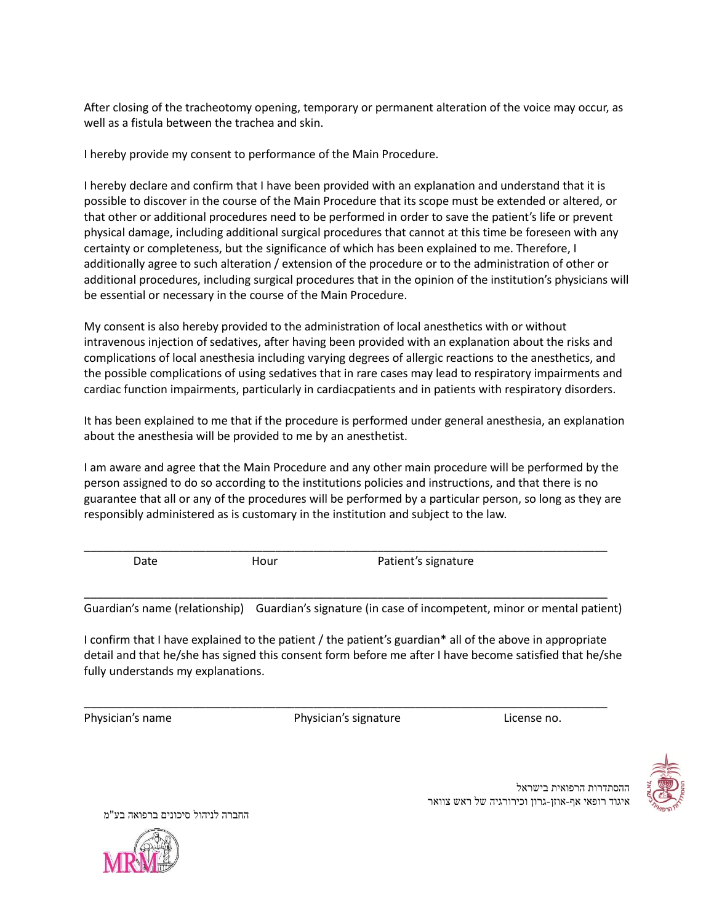After closing of the tracheotomy opening, temporary or permanent alteration of the voice may occur, as well as a fistula between the trachea and skin.

I hereby provide my consent to performance of the Main Procedure.

I hereby declare and confirm that I have been provided with an explanation and understand that it is possible to discover in the course of the Main Procedure that its scope must be extended or altered, or that other or additional procedures need to be performed in order to save the patient's life or prevent physical damage, including additional surgical procedures that cannot at this time be foreseen with any certainty or completeness, but the significance of which has been explained to me. Therefore, I additionally agree to such alteration / extension of the procedure or to the administration of other or additional procedures, including surgical procedures that in the opinion of the institution's physicians will be essential or necessary in the course of the Main Procedure.

My consent is also hereby provided to the administration of local anesthetics with or without intravenous injection of sedatives, after having been provided with an explanation about the risks and complications of local anesthesia including varying degrees of allergic reactions to the anesthetics, and the possible complications of using sedatives that in rare cases may lead to respiratory impairments and cardiac function impairments, particularly in cardiacpatients and in patients with respiratory disorders.

It has been explained to me that if the procedure is performed under general anesthesia, an explanation about the anesthesia will be provided to me by an anesthetist.

I am aware and agree that the Main Procedure and any other main procedure will be performed by the person assigned to do so according to the institutions policies and instructions, and that there is no guarantee that all or any of the procedures will be performed by a particular person, so long as they are responsibly administered as is customary in the institution and subject to the law.

\_\_\_\_\_\_\_\_\_\_\_\_\_\_\_\_\_\_\_\_\_\_\_\_\_\_\_\_\_\_\_\_\_\_\_\_\_\_\_\_\_\_\_\_\_\_\_\_\_\_\_\_\_\_\_\_\_\_\_\_\_\_\_\_\_\_\_\_\_\_\_\_\_\_\_\_\_\_\_\_\_\_

\_\_\_\_\_\_\_\_\_\_\_\_\_\_\_\_\_\_\_\_\_\_\_\_\_\_\_\_\_\_\_\_\_\_\_\_\_\_\_\_\_\_\_\_\_\_\_\_\_\_\_\_\_\_\_\_\_\_\_\_\_\_\_\_\_\_\_\_\_\_\_\_\_\_\_\_\_\_\_\_\_\_

Date **Hour** Hour Patient's signature

Guardian's name (relationship) Guardian's signature (in case of incompetent, minor or mental patient)

I confirm that I have explained to the patient / the patient's guardian\* all of the above in appropriate detail and that he/she has signed this consent form before me after I have become satisfied that he/she fully understands my explanations.

\_\_\_\_\_\_\_\_\_\_\_\_\_\_\_\_\_\_\_\_\_\_\_\_\_\_\_\_\_\_\_\_\_\_\_\_\_\_\_\_\_\_\_\_\_\_\_\_\_\_\_\_\_\_\_\_\_\_\_\_\_\_\_\_\_\_\_\_\_\_\_\_\_\_\_\_\_\_\_\_\_\_ Physician's name Physician's signature License no.



ההסתדרות הרפואית בישראל איגוד רופאי אף-אוזן-גרון וכירורגיה של ראש צוואר

החברה לניהול סיכונים ברפואה בע"מ